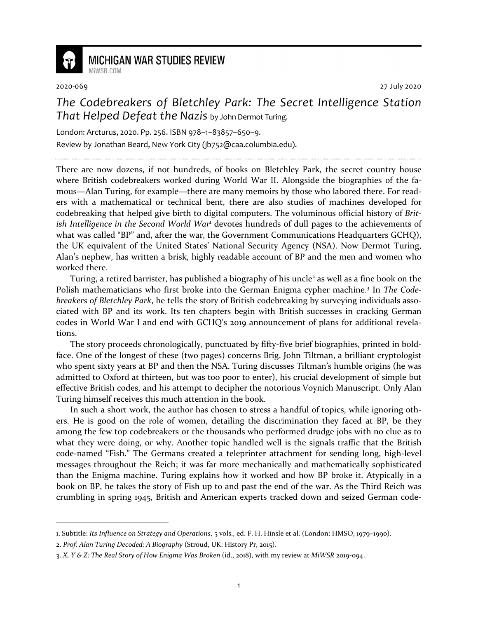

## **MICHIGAN WAR STUDIES REVIEW** MiWSR.COM

2020-069 27 July 2020

## *The Codebreakers of Bletchley Park: The Secret Intelligence Station That Helped Defeat the Nazis* by John Dermot Turing.

London: Arcturus, 2020. Pp. 256. ISBN 978–1–83857–650–9.

Review by Jonathan Beard, New York City (jb752@caa.columbia.edu).

There are now dozens, if not hundreds, of books on Bletchley Park, the secret country house where British codebreakers worked during World War II. Alongside the biographies of the famous—Alan Turing, for example—there are many memoirs by those who labored there. For readers with a mathematical or technical bent, there are also studies of machines developed for codebreaking that helped give birth to digital computers. The voluminous official history of *Brit*ish Intelligence in the Second World War<sup>1</sup> devotes hundreds of dull pages to the achievements of what was called "BP" and, after the war, the Government Communications Headquarters GCHQ), the UK equivalent of the United States' National Security Agency (NSA). Now Dermot Turing, Alan's nephew, has written a brisk, highly readable account of BP and the men and women who worked there.

Turing, a retired barrister, has published a biography of his uncle<sup>2</sup> as well as a fine book on the Polish mathematicians who first broke into the German Enigma cypher machine.<sup>3</sup> In The Code*breakers of Bletchley Park*, he tells the story of British codebreaking by surveying individuals associated with BP and its work. Its ten chapters begin with British successes in cracking German codes in World War I and end with GCHQ's 2019 announcement of plans for additional revelations.

The story proceeds chronologically, punctuated by fifty-five brief biographies, printed in boldface. One of the longest of these (two pages) concerns Brig. John Tiltman, a brilliant cryptologist who spent sixty years at BP and then the NSA. Turing discusses Tiltman's humble origins (he was admitted to Oxford at thirteen, but was too poor to enter), his crucial development of simple but effective British codes, and his attempt to decipher the notorious Voynich Manuscript. Only Alan Turing himself receives this much attention in the book.

In such a short work, the author has chosen to stress a handful of topics, while ignoring others. He is good on the role of women, detailing the discrimination they faced at BP, be they among the few top codebreakers or the thousands who performed drudge jobs with no clue as to what they were doing, or why. Another topic handled well is the signals traffic that the British code-named "Fish." The Germans created a teleprinter attachment for sending long, high-level messages throughout the Reich; it was far more mechanically and mathematically sophisticated than the Enigma machine. Turing explains how it worked and how BP broke it. Atypically in a book on BP, he takes the story of Fish up to and past the end of the war. As the Third Reich was crumbling in spring 1945, British and American experts tracked down and seized German code-

<sup>1.</sup> Subtitle: *Its Influence on Strategy and Operations*, 5 vols., ed. F. H. Hinsle et al. (London: HMSO, 1979–1990).

<sup>2.</sup> *Prof: Alan Turing Decoded: A Biography* (Stroud, UK: History Pr, 2015).

<sup>3.</sup> *X, Y & Z: The Real Story of How Enigma Was Broken* (id., 2018), with my review at *MiWSR* 2019-094.